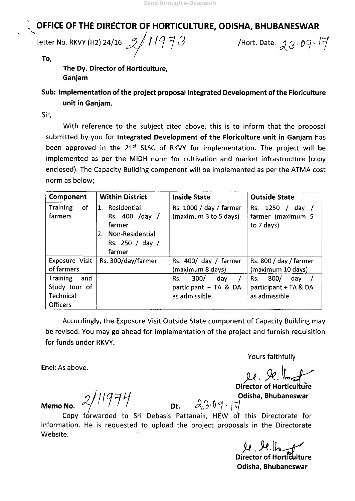**Send through e-Despatch**

OFFICE OF THE DIRECTOR OF HORTICULTURE, ODISHA, BHUBANESWAR

Letter No. RKVY (H2) 24/16

/Hort. Date.  $23.09$ <sup>.</sup> ltd

To, the state  $\frac{1}{2}$ 

The Dy. Director of Horticulture, Ganjam

Sub: lmplementation of the project proposal lntegrated Development of the Floriculture unit in Ganjam,

Sir.

With reference to the subject cited above, this is to inform that the proposal submitted by you for Integrated Development of the Floriculture unit in Ganjam has been approved in the 21<sup>st</sup> SLSC of RKVY for implementation. The project will be implemented as per the MIDH norm for cultivation and market infrastructure (copy enclosed). The Capacity Building component will be implemented as per the ATMA cost norm as below;

| Component                                                                      | <b>Within District</b>                                                                             | <b>Inside State</b>                                                       | <b>Outside State</b>                                          |
|--------------------------------------------------------------------------------|----------------------------------------------------------------------------------------------------|---------------------------------------------------------------------------|---------------------------------------------------------------|
| of<br><b>Training</b><br>farmers                                               | Residential<br>1<br>Rs. 400 /day /<br>farmer<br>Non-Residential<br>2.<br>Rs. 250 / day /<br>farmer | Rs. 1000 / day / farmer<br>(maximum 3 to 5 days)                          | Rs. 1250 / day /<br>farmer (maximum 5<br>to 7 days)           |
| Exposure Visit<br>of farmers                                                   | Rs. 300/day/farmer                                                                                 | Rs. $400/$ day / farmer<br>(maximum 8 days)                               | Rs. 800 / day / farmer<br>(maximum 10 days)                   |
| <b>Training</b><br>and<br>Study tour of<br><b>Technical</b><br><b>Officers</b> |                                                                                                    | 300/<br>$\prime$<br>Rs.<br>day<br>participant + TA & DA<br>as admissible. | 800/<br>day<br>Rs.<br>participant + TA & DA<br>as admissible. |

Accordingly, the Exposure Visit Outside State component of Capacity Building may be revised. You may go ahead for implementation of the project and furnish requisition for funds under RKVY.

Encl: As above.

Yours faithfully

e. 9e In 1<br>Director of Horticulture

Odisha, Bhubaneswar  $Dt. \quad 23.09.17$ 

Memo No.

copy information. He is requested to upload the project proposals in the Directorate Website.  $2/11974$  $f$ orwarded to Sri Debasis Pattanaik, HEW o $f$  this Directorate for

t! t4ll.--( Director of Horticulture Odisha, Bhubaneswar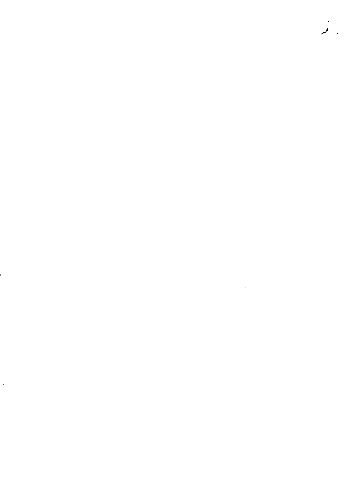$\label{eq:2.1} \frac{1}{\sqrt{2\pi}}\int_{0}^{\infty}\frac{1}{\sqrt{2\pi}}\left(\frac{1}{\sqrt{2\pi}}\right)^{2\sqrt{2}}\frac{1}{\sqrt{2\pi}}\int_{0}^{\infty}\frac{1}{\sqrt{2\pi}}\left(\frac{1}{\sqrt{2\pi}}\right)^{2\sqrt{2}}\frac{1}{\sqrt{2\pi}}\frac{1}{\sqrt{2\pi}}\int_{0}^{\infty}\frac{1}{\sqrt{2\pi}}\frac{1}{\sqrt{2\pi}}\frac{1}{\sqrt{2\pi}}\frac{1}{\sqrt{2\pi}}\frac{1}{\sqrt{2\pi}}\frac{1$ 

 $\label{eq:2.1} \frac{1}{\sqrt{2}}\int_{0}^{\infty}\frac{1}{\sqrt{2\pi}}\left(\frac{1}{\sqrt{2\pi}}\int_{0}^{\infty}\frac{1}{\sqrt{2\pi}}\left(\frac{1}{\sqrt{2\pi}}\right)\frac{1}{\sqrt{2\pi}}\right)\frac{d\omega}{\omega}d\omega.$ 

 $\frac{1}{2}$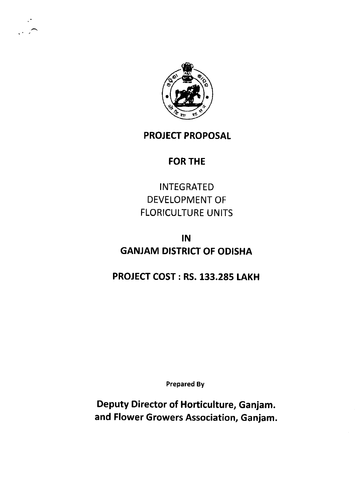

# PROJECT PROPOSAL

# FOR THE

INTEGRATED DEVELOPMENT OF FLORICULTURE UNITS

# IN GANJAM DISTRICT OF ODISHA

PROJECT COST: RS. 133.285 LAKH

Prepared By

Deputy Director of Horticulture, Ganjam. and Flower Growers Association, Ganjam.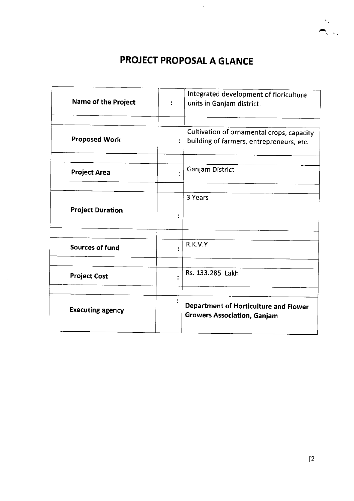# PROJECT PROPOSAL A GLANCE

 $\overline{\phantom{a}}$ 

| Name of the Project     | $\ddot{\cdot}$       | Integrated development of floriculture<br>units in Ganjam district.                   |
|-------------------------|----------------------|---------------------------------------------------------------------------------------|
| <b>Proposed Work</b>    | $\ddot{\phantom{a}}$ | Cultivation of ornamental crops, capacity<br>building of farmers, entrepreneurs, etc. |
| <b>Project Area</b>     |                      | Ganjam District                                                                       |
| <b>Project Duration</b> |                      | 3 Years                                                                               |
| <b>Sources of fund</b>  | $\ddot{\cdot}$       | R.K.V.Y                                                                               |
| <b>Project Cost</b>     | ÷                    | Rs. 133.285 Lakh                                                                      |
| <b>Executing agency</b> | ٠                    | Department of Horticulture and Flower<br><b>Growers Association, Ganjam</b>           |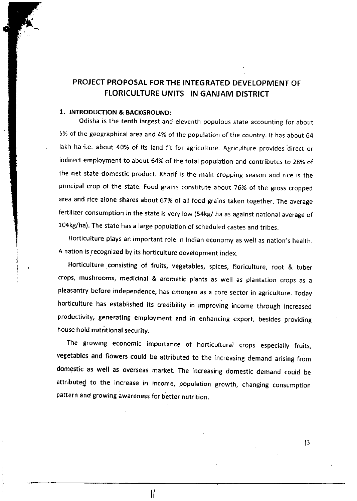## PROJECT PROPOSAL FOR THE INTEGRATED DEVELOPMENT OF FLORICULTURE UNITS IN GANJAM DISTRICT

#### 1. INTRODUCTION & BACKGROUND:

Odisha is the tenth largest and eleventh populous state accounting for about 5% of the geographical area and 4% of the population of the country. It has about 64 lakh ha i.e. about 40% of its land fit for agriculture. Agriculture provides direct or indirect employment to about 64% of the total population and contributes to 28% of the net state domestic product. Kharif is the main cropping season and rice is the principal crop of the state. Food grains constitute about 76% of the gross cropped area and rice alone shares about 67% of all food grains taken together. The average fertilizer consumption in the state is very low (54kg/ ha as against national average of 10akg/ha). The state has a large population of scheduled castes and tribes.

Horticulture plays an important role in Indian economy as well as nation's health. A nation is recognized by its horticulture development index.

Horticulture consisting of fruits, vegetables, spices, floriculture, root & tuber crops, mushrooms, medicinal & aromatic plants as well as plantation crops as <sup>a</sup> pleasantry before independence, has emerged as a core sector in agriculture. Today horticulture has established its credibility in improving income through increased productivity, generating employment and in enhancing export, besides providing house hold nutritional security.

The growing economic importance of horticultural crops especially fruits, vegetables and flowers could be attributed to the increasing demand arising from domestic as well as overseas market. The increasing domestic demand could be attributed to the increase in income, population growth, changing consumption pattern and growing awareness for better nutrition.

 $\mathsf{l}$ 

 $\lceil 3 \rceil$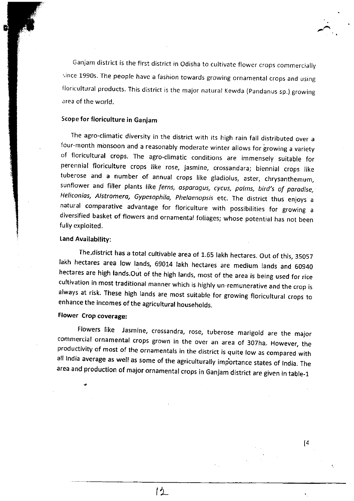Ganjam district is the first district in odisha to cultivate flower crops commercially since 1990s. The people have a fashion towards growing ornamental crops and using floricultural products. This district is the major natural Kewda (Pandanus sp.) growing <sup>a</sup>rea of the world.

## Scope for floriculture in Ganjam

The agro-climatic diversity in the district with its high rain fall distributed over a four-month monsoon and a reasonably moderate winter allows for growing a variety of floricultural crops. The agro-climatic conditions are immensely suitable for perennial floriculture crops like rose, jasmine, crossandara; biennial crops like tuberose and a nurnber of annual crops like gladiolus, aster, chrysanthemum, sunflower and filler plants like ferns, asparagus, cycus, palms, bird's of paradise, Heliconias, Alstromero, Gypesophilo, pheloenopsis etc. The district thus enjoys <sup>a</sup> natural comparative advantage for floriculture with possibilities for growing a diversified basket of flowers and ornamental foliages; whose potential has not been <sup>f</sup>ully exploited.

#### Land Availability:

The district has a total cultivable area of 1.65 lakh hectares. Out of this, 35057 lakh hectares area low lands, 69014 lakh hectares are medium lands and 60940 hectares are high lands.Out of the high lands, most of the area is being used for rice cultivation in most traditional manner which is highly un-remunerative and the crop is always at risk. These high lands are most suitable for growing floricultural crops to enhance the incomes ofthe agricultural househoids.

#### Flower Crop coverage:

Flowers like Jasmine, crossandra, rose, tuberose marigold are the major productivity of most of the ornamentals in the district is quite low as compared with all India average as well as some of the agriculturally importance states of India. The area and production of major ornamental crops in Ganjam district are given in table-1

t4

14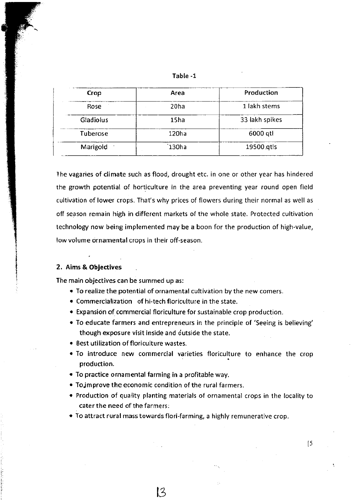| Crop      | Area  | Production     |
|-----------|-------|----------------|
| Rose      | 20ha  | 1 lakh stems   |
| Gladiolus | 15ha  | 33 lakh spikes |
| Tuberose  | 120ha | 6000 gtl       |
| Marigold  | 130ha | 19500.gtls     |

The vagaries of climate such as flood, drought etc. in one or other year has hindered the growth potential of horticulture in the area preventing year round open field cultivation of lower crops. That's why prices of flowers during their normal as well as off season rernain high in different markets of the whole state. Protected cultivation technology now being implemented may be a boon for the production of high-value, low volume ornamental croos in their off-season.

#### 2. Aims & Objectives

The main objectives can be sumrned up as:

- . To realize the potential of ornamental cultivation by the new comers.
- Commercialization of hi-tech floriculture in the state.
- . Expansion of commercial floriculture for sustainable crop production.
- To educate farmers and entrepreneurs in the principle of 'Seeing is believing' though exposure visit inside and dutside the state.
- Best utilization of floriculture wastes.
- . To introduce new commercial varieties floriculture to enhance the crop production.
- . To practice ornamental farrning in a profitable way.
- . Tojmprove the economic condition of the rural farmers.

l3

- . Production of quality planting materials of ornamental crops in the locality to cater the need of the farmers:
- . To attract rural mass towards flori-farming, a highly remunerative crop,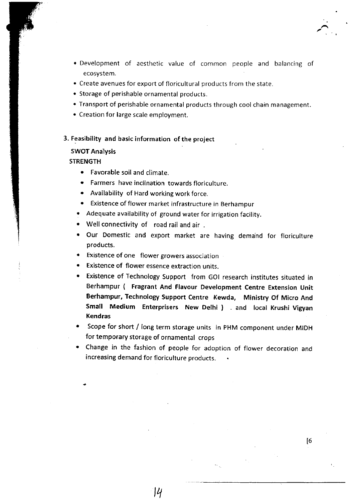- Development of aesthetic value of common people and balancing of ecosystem.
- . Create avenues for export of floricultural products from the state.
- Storage of perishable ornamental products.
- Transport of perishable ornamental products through cool chain management.
- Creation for large scale employment.
- 3. Feasibility and basic information of the project

#### SWOT Analysis

#### **STRENGTH**

- . Favorable soil and climate.
- . Farmers have inclination towards floriculture.
- o Availability of Hard working work force.
- Existence of flower market infrastructure in Berhampur
- . Adequate availability of ground water for irrigation facility.
- Well connectivity of road rail and air.
- . Our Domestic and export market are having demand for floriculture products.
- . Existence of one flower growers association

|4

- . Existence of flower essence extraction units.
- . Existence of Technology Support from GOI research institutes situated in Eerhampur ( Fragrant And Flavour Development Centre Extension Unit Berhampur, Technology Support Centre Kewda, Ministry Of Micro And Small Medium Enterprisers New Delhi ) . and local Krushi Vigyan Kendras
- . Scope for short / long term storage units in pHM component under MIDH for temporary storage of ornamental crops
- . Change in the fashion of people for adoption of flower decoration and increasing demand for floriculture products.

t6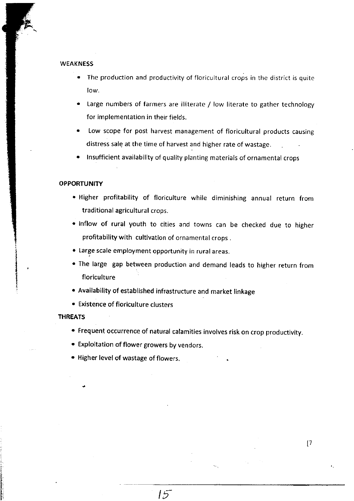#### **WEAKNESS**

- . The production and productivity of floricultural crops in the district is quite low.
- . Large numbers of farmers are illiterate / low literate to gather technology for implementation in their fields.
- Low scope for post harvest management of floricultural products causing distress sale at the time of harvest and higher rate of wastage.
- . Insufficient availability of quality planting materials of ornamental crops

#### **OPPORTUNITY**

- . Higher profitability of floriculture while diminishing annual return from traditional agricultural crops.
- Inflow of rural youth to cities and towns can be checked due to higher profitability with cultivation of ornamental crops.
- . Large scale employment opportunity in ruralareas.
- . The large gap between production and demand leads to higher return from floriculture
- o Availability of established infrastructure and market linkage

 $15$ 

. Existence of floriculture clusters

#### THREATS

r : . Frequent occurrence of natural calamities involves risk on crop productivity.

 $\left\lceil 7 \right\rceil$ 

- . Exploitation of flower growers by vendors.
- . Higher level of wastage of flowers.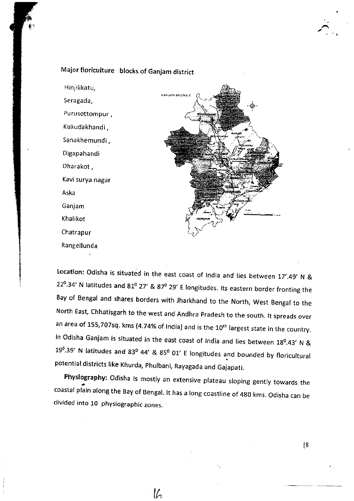## Major floriculture blocks of Ganjam district

Hinjilikatu, **CANJAM DISTRICT** Seragada, Purusottompur, Kukudakhandi, Sana khemundi . Digapahandi Dharakot, Kavi surya nagar Aska Ganjam Khalikot Chatrapur Rangeilunda

Location: Odisha is situated in the east coast of India and lies between 17'.49' N &  $22^0.34'$  N latitudes and  $81^0$   $27'$  &  $87^0$   $29'$  E longitudes. Its eastern border fronting the Bay of Bengal and shares borders with Jharkhand to the North, West Bengal to the North East, Chhatisgarh to the west and Andhra Pradesh to the south. It spreads over an area of 155,707sq. kms (4.74% of India) and is the 10<sup>th</sup> largest state in the country. In Odisha Ganjam is situated in the east coast of India and lies between  $18^0.43'$  N &  $19^0.39'$  N latitudes and 83<sup>0</sup> 44' & 85<sup>0</sup> 01' E longitudes and bounded by floricultural potential districts like Khurda, Phulbani, Rayagada and Gajapati.

Physlography: Odisha is mostly an extensive plateau sloping gently towards the coastal plain along the Bay of Bengal. It has a long coastline of 480 kms. Odisha can be divided into 10 physiographic zones.

lh

t8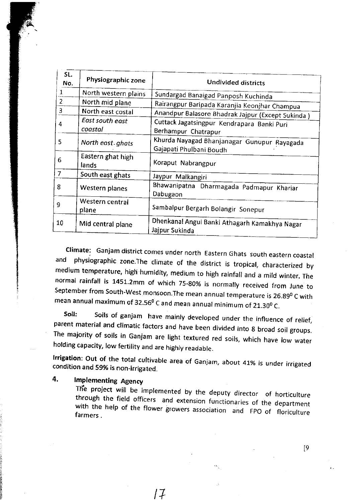| SL.<br>No.     | Physiographic zone         | <b>Undivided districts</b>                                             |
|----------------|----------------------------|------------------------------------------------------------------------|
| $\mathbf{1}$   | North western plains       | Sundargad Banaigad Panposh Kuchinda                                    |
| $\overline{c}$ | North mid plane            | Rairangpur Baripada Karanjia Keonjhar Champua                          |
| $\overline{3}$ | North east costal          | Anandpur Balasore Bhadrak Jajpur (Except Sukinda)                      |
| 4              | East south east<br>coastal | Cuttack Jagatsingpur Kendrapara Banki Puri<br>Berhampur Chatrapur      |
| 5              | North east ghats           | Khurda Nayagad Bhanjanagar Gunupur Rayagada<br>Gajapati Phulbani Boudh |
| 6              | Eastern ghat high<br>lands | Koraput Nabrangpur                                                     |
| $\overline{7}$ | South east ghats           | Jaypur Malkangiri                                                      |
| 8              | Western planes             | Bhawanipatna Dharmagada Padmapur Khariar<br>Dabugaon                   |
| 9              | Western central<br>plane   | Sambalpur Bergarh Bolangir Sonepur                                     |
| 10             | Mid central plane          | Dhenkanal Angul Banki Athagarh Kamakhya Nagar<br>Jajpur Sukinda        |

**Climate:** Ganjam district comes under north Eastern Ghats south eastern coastal<br>and physiographic zone. The climate of the district is tropical, characterized by<br>medium temperature, high humidity, medium to high rainfall

Soil: Soils of ganjam have mainly developed under the influence of relief, parent material and climatic factors and have been divided into 8 broad soil groups.<br>The majority of soils in Ganjam are light textured red soils,

Irrigation: Out of the total cultivable area of Ganjam, about 41% is under irrigated condition and 59% is non-irrigated.

t+

## 4, lmplementing Agency

The project will be implemented by the deputy director of horticulture through the field officers and extension functionaries of the department with the help of the flower growers association and FPO of floriculture farmers.

 $^{[9]}$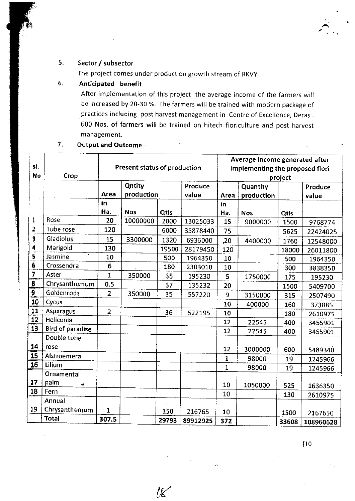#### 5. Sector / subsector

The project comes under production growth stream of RKVY

#### 6. Anticipated benefit

After implementation of this project the average income of the farmers will be increased by 20-30 %. The farmers will be trained with modern package of practices including post harvest management in Centre of Excellence, Deras. 600 Nos. of farmers will be trained on hitech floriculture and post harvest management.

| \$I,<br>No      | Crop                    |                | <b>Present status of production</b> |       | Average Income generated after<br>implementing the proposed flori<br>project |                |            |             |           |
|-----------------|-------------------------|----------------|-------------------------------------|-------|------------------------------------------------------------------------------|----------------|------------|-------------|-----------|
|                 |                         |                | Qntity                              |       | Produce                                                                      |                | Quantity   |             | Produce   |
|                 |                         | Area           | production                          |       | value                                                                        | Area           | production |             | value     |
|                 |                         | in             |                                     |       |                                                                              | in             |            |             |           |
|                 |                         | Ha.            | <b>Nos</b>                          | Qtls  |                                                                              | Ha.            | <b>Nos</b> | <b>Qtls</b> |           |
| Ť               | Rose                    | 20             | 10000000                            | 2000  | 13025033                                                                     | 15             | 9000000    | 1500        | 9768774   |
| į               | Tube rose               | 120            |                                     | 6000  | 35878440                                                                     | 75             |            | 5625        | 22424025  |
| j               | Gladiolus               | 15             | 3300000                             | 1320  | 6936000                                                                      | ,20            | 4400000    | 1760        | 12548000  |
| 4               | Marigold                | 130            |                                     | 19500 | 28179450                                                                     | 120            |            | 18000       | 26011800  |
| \$              | Jasmine                 | 10             |                                     | 500   | 1964350                                                                      | 10             |            | 500         | 1964350   |
| 6               | Crossendra              | 6              |                                     | 180   | 2303010                                                                      | 10             |            | 300         | 3838350   |
| 7               | Aster                   | 1              | 350000                              | 35    | 195230                                                                       | 5              | 1750000    | 175         | 195230    |
| 8<br>9          | Chrysanthemum           | 0.5            |                                     | 37    | 135232                                                                       | 20             |            | 1500        | 5409700   |
|                 | Goldenrods              | $\overline{2}$ | 350000                              | 35    | 557220                                                                       | 9              | 3150000    | 315         | 2507490   |
| 10              | Cycus                   |                |                                     |       |                                                                              | 10             | 400000     | 160         | 373885    |
| 11              | Asparagus               | $\overline{2}$ |                                     | 36    | 522195                                                                       | 10             |            | 180         | 2610975   |
| $\overline{12}$ | Heliconia               |                |                                     |       |                                                                              | 12             | 22545      | 400         | 3455901   |
| 13              | <b>Bird of paradise</b> |                |                                     |       |                                                                              | 12             | 22545      | 400         | 3455901   |
|                 | Double tube             |                |                                     |       |                                                                              |                |            |             |           |
| 14              | rose                    |                |                                     |       |                                                                              | 12             | 3000000    | 600         | 5489340   |
| 15              | Alstroemera             |                |                                     |       |                                                                              | $\mathbf{1}$   | 98000      | 19          | 1245966   |
| 16              | Lilium                  |                |                                     |       |                                                                              | $\overline{1}$ | 98000      | 19          | 1245966   |
|                 | Ornamental              |                |                                     |       |                                                                              |                |            |             |           |
| 17              | palm<br>$\bullet$       |                |                                     |       |                                                                              | 10             | 1050000    | 525         | 1636350   |
| 18              | Fern                    |                |                                     |       |                                                                              | 10             |            | 130         | 2610975   |
|                 | Annual                  |                |                                     |       |                                                                              |                |            |             |           |
| 19              | Chrysanthemum           | $\mathbf{1}$   |                                     | 150   | 216765                                                                       | 10             |            | 1500        | 2167650   |
|                 | <b>Total</b>            | 307.5          |                                     | 29793 | 89912925                                                                     | 372            |            | 33608       | 108960628 |

#### $7.$ Output and Outcome

 $[10]$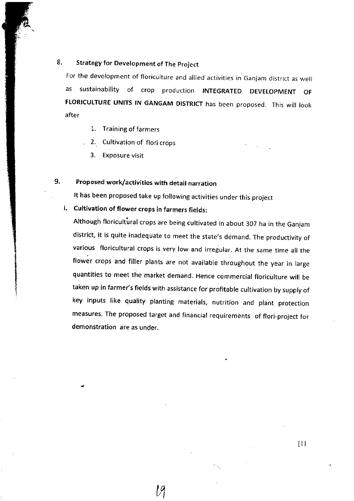## 8. Strategy for Development of The Project

For the development of floriculture and allied activities in Ganjam district as well as sustainability of crop production INTEGRATED DEVELOPMENT OF FLORICULTURE UNITS IN GANGAM DISTRICT has been proposed. This will look after

- 1. Training of farmers
- 2. Cultivation of flori crops
- 3. Exposure visit

## 9. Proposed work/activities with detail narration

It has been proposed take up following activities under this project

## i. Cultivation of flower crops in farmers fields:

Although floricultural crops are being cultivated in about 307 ha in the Ganjam district, it is quite inadequate to meet the state's demand. The productivity of various floricultural crops is very low and irregular. At the same time all the flower crops and filler plants are not available throughout the year in large quantities to meet the market demand. Hence commercial floriculture will be taken up in farmer's fields with assistance for profitable cultivation by supply of key inputs like quality planting materials, nutrition and plant protection measures. The proposed target and financial requirements of flori-project for demonstration are as under.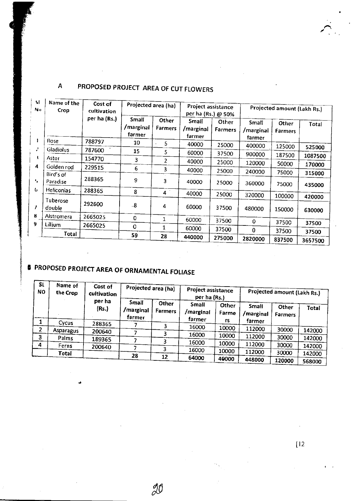| M<br>No. | Name of the<br>Crop   | Cost of<br>cultivation | Projected area (ha)                 |                                | Project assistance<br>per ha (Rs.) @ 50% |                  | Projected amount (Lakh Rs.)  |                         |                  |
|----------|-----------------------|------------------------|-------------------------------------|--------------------------------|------------------------------------------|------------------|------------------------------|-------------------------|------------------|
|          |                       | per ha (Rs.)           | <b>Small</b><br>/marginal<br>farmer | <b>Other</b><br><b>Farmers</b> | Small<br>/marginal<br>farmer             | Other<br>Farmers | Small<br>/marginal<br>farmer | Other<br><b>Farmers</b> | Total            |
|          | Rose                  | 788797                 | 10                                  | 5                              | 40000                                    | 25000            | 400000                       | 125000                  | 525000           |
| ,,       | Gladiolus             | 787600                 | 15                                  | 5                              | 60000                                    | 37500            | 900000                       | 187500                  | 1087500          |
| A        | <b>Astor</b>          | 154770                 | 3                                   | 2                              | 40000                                    | 25000            | 120000                       | 50000                   | 170000           |
| 4        | Golden rod            | 229515                 | 6                                   | 3                              | 40000                                    | 25000            | 240000                       | 75000                   |                  |
| ٠,       | Bird's of<br>Paradise | 288365                 | 9                                   | 3                              | 40000                                    | 25000            | 360000                       | 75000                   | 315000<br>435000 |
| ь.       | Heliconias            | 288365                 | 8                                   | 4                              | 40000                                    | 25000            | 320000                       | 100000                  |                  |
| 7        | Tuberose<br>double    | 292600                 | .8                                  | 4                              | 60000                                    | 37500            | 480000                       | 150000                  | 420000<br>630000 |
| H        | Alstromera            | 2665025                | 0                                   | 1                              | 60000                                    | 37500            | 0                            |                         |                  |
| 9        | Lillium               | 2665025                | 0                                   | 1                              | 60000                                    | 37500            |                              | 37500                   | 37500            |
|          | Total                 |                        | 59                                  | 28                             | 440000                                   | 275000           | $\Omega$<br>2820000          | 37500<br>837500         | 37500<br>3657500 |

#### PROPOSED PROJECT AREA OF CUT FLOWERS  $\mathbf{A}$

# **B** PROPOSED PROJECT AREA OF ORNAMENTAL FOLIASE

| SL<br><b>NO</b> | Name of<br>the Crop | Cost of<br>cultivation | Projected area (ha)          |                  | Project assistance<br>per ha (Rs.) |                             | Projected amount (Lakh Rs.) |                         |        |
|-----------------|---------------------|------------------------|------------------------------|------------------|------------------------------------|-----------------------------|-----------------------------|-------------------------|--------|
|                 |                     | per ha<br>(Rs.)        | Small<br>/marginal<br>farmer | Other<br>Farmers | Small<br>/marginal<br>farmer       | <b>Other</b><br>Farme<br>rs | Small<br>marginal           | Other<br><b>Farmers</b> | Total  |
|                 | Cycus               | 288365                 |                              |                  |                                    |                             | farmer                      |                         |        |
|                 | Asparagus           | 200640                 |                              |                  | 16000                              | 10000                       | 112000                      | 30000                   | 142000 |
| 3               | Palms               |                        |                              |                  | 16000                              | 10000                       | 112000                      | 30000                   | 142000 |
|                 |                     | 189365                 |                              |                  | 16000                              | 10000                       | 112000                      |                         |        |
| $\mathbf{A}$    | <b>Ferns</b>        | 200640                 |                              |                  |                                    |                             |                             | 30000                   | 142000 |
|                 | Total               |                        |                              |                  | 16000                              | 10000                       | 112000                      | 30000                   | 142000 |
|                 |                     |                        | 28                           | 12               | 64000                              | 40000                       | 448000                      | 120000                  | 568000 |

 $\mathscr{Z}$ 

 $[12]$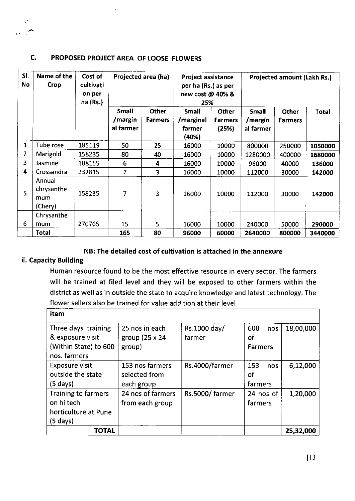$\ddot{\phantom{a}}$ سيب

## C. PROPOSED PROJECT AREA OF LOOSE FLOWERS

 $\ddot{\phantom{1}}$ 

| SI.<br><b>No</b> | Name of the<br>Cost of<br><b>Crop</b><br>cultivati<br>on per<br>ha (Rs.) |        | Projected area (ha)                  |                         | Project assistance<br>per ha (Rs.) as per<br>new cost @ 40% &<br>25% |                                         | Projected amount (Lakh Rs.)          |                                |         |
|------------------|--------------------------------------------------------------------------|--------|--------------------------------------|-------------------------|----------------------------------------------------------------------|-----------------------------------------|--------------------------------------|--------------------------------|---------|
|                  |                                                                          |        | <b>Small</b><br>/margin<br>al farmer | Other<br><b>Farmers</b> | <b>Small</b><br>/marginal<br>farmer<br>(40%)                         | <b>Other</b><br><b>Farmers</b><br>(25%) | <b>Small</b><br>/margin<br>al farmer | <b>Other</b><br><b>Farmers</b> | Total   |
| 1                | Tube rose                                                                | 185119 | 50                                   | 25                      | 16000                                                                | 10000                                   | 800000                               | 250000                         | 1050000 |
| 2                | Marigold                                                                 | 158235 | 80                                   | 40                      | 16000                                                                | 10000                                   | 1280000                              | 400000                         | 1680000 |
| 3                | Jasmine                                                                  | 188155 | 6                                    | 4                       | 16000                                                                | 10000                                   | 96000                                | 40000                          | 136000  |
| 4                | Crossandra                                                               | 232815 | 7                                    | 3                       | 16000                                                                | 10000                                   | 112000                               | 30000                          | 142000  |
| 5                | Annual<br>chrysanthe<br>mum<br>(Chery)                                   | 158235 | 7                                    | $\overline{3}$          | 16000                                                                | 10000                                   | 112000                               | 30000                          | 142000  |
| 6                | Chrysanthe<br>mum                                                        | 270765 | 15                                   | 5                       | 16000                                                                | 10000                                   | 240000                               | 50000                          | 290000  |
|                  | Total                                                                    |        | 165                                  | 80                      | 96000                                                                | 60000                                   | 2640000                              | 800000                         | 3440000 |

### NB: The detailed cost of cultivation is attached in the annexure

## ii. Capacity Building

Human resource found to be the most effective resource in every sector. The farmers will be trained at filed level and they will be exposed to other farmers within the district as well as in outside the state to acquire knowledge and latest technology. The flower sellers also be trained for value addition at their level

| Item                                                                                   |                                                |                        |                             |           |
|----------------------------------------------------------------------------------------|------------------------------------------------|------------------------|-----------------------------|-----------|
| Three days training<br>& exposure visit<br>(Within State) to 600<br>nos. farmers       | 25 nos in each<br>group (25 x 24<br>group)     | Rs.1000 day/<br>farmer | 600<br>nos<br>οf<br>Farmers | 18,00,000 |
| Exposure visit<br>outside the state<br>$(5 \text{ days})$                              | 153 nos farmers<br>selected from<br>each group | Rs.4000/farmer         | 153<br>nos<br>of<br>farmers | 6,12,000  |
| <b>Training to farmers</b><br>on hi tech<br>horticulture at Pune<br>$(5 \text{ days})$ | 24 nos of farmers<br>from each group           | Rs.5000/farmer         | 24 nos of<br>farmers        | 1,20,000  |
| <b>TOTAL</b>                                                                           |                                                |                        |                             | 25,32,000 |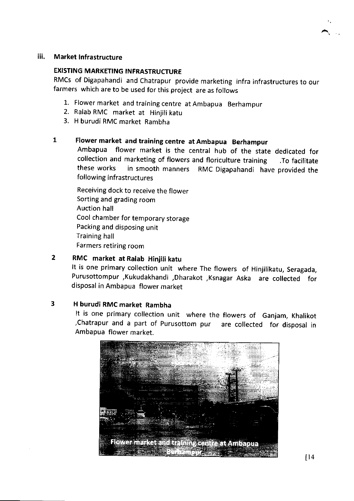### iii. Market Infrastructure

## EXISTING MARKETING INFRASTRUCTURE

RMCs of Digapahandi and Chatrapur provide marketing infra infrastructures ro our farmers which are to be used for this project are as follows

- 1. Flower market and training centre at Ambapua Berhampur
- 2. Ralab RMC market at Hinjili katu
- 3. H burudi RMC market Rambha

#### $\mathbf{1}$ Flower market and training centre at Ambapua Berhampur

Ambapua flower market is the central hub of the state dedicated for collection and marketing of flowers and floriculture training . To facilitate<br>these works in smooth manners RMC Digapahandi have provided the RMC Digapahandi have provided the following infrastructures

Receiving dock to receive the flower Sorting and grading room Auction hall Cool chamber for temporary storage Packing and disposing unit Training hall Farmers retiring room

#### $\overline{2}$ RMC market at Ralab Hinjili katu

It is one primary collection unit where The flowers of Hinjilikatu, seragada, Purusottompur ,Kukudakhandi ,Dharakot ,Ksnagar Aska are collected for disposal in Ambapua flower market

#### $\overline{\mathbf{3}}$ H burudi RMC market Rambha

It is one primary collection unit where the flowers of Ganjam, Khalikot Chatrapur and a part of Purusottom pur are collected for disposal in Ambapua flower market.



|4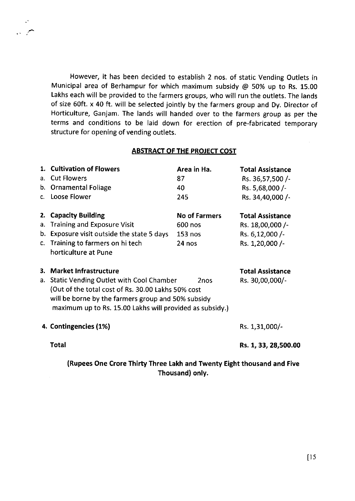However, it has been decided to establish 2 nos. of static Vending Outlets in Municipal area of Berhampur for which maximum subsidy @ 50% up to Rs. 15.00 Lakhs each will be provided to the farmers groups, who will run the outlets. The lands of size 60ft. x 40 ft. will be selected jointly by the farmers group and Dy. Director of Horticulture, Ganjam. The lands will handed over to the farmers group as per the terms and conditions to be laid down for erection of pre-fabricated temporarv structure for opening of vending outlets.

سمران

#### ABSTRACT OF THE PROJECT COST

|    | 1. Cultivation of Flowers                                                                                                                                                                                                                     | Area in Ha.          | <b>Total Assistance</b> |  |  |  |  |
|----|-----------------------------------------------------------------------------------------------------------------------------------------------------------------------------------------------------------------------------------------------|----------------------|-------------------------|--|--|--|--|
|    | a. Cut Flowers                                                                                                                                                                                                                                | 87                   | Rs. 36,57,500/-         |  |  |  |  |
|    | b. Ornamental Foliage                                                                                                                                                                                                                         | 40                   | Rs. $5,68,000$ /-       |  |  |  |  |
|    | c. Loose Flower                                                                                                                                                                                                                               | 245                  | Rs. 34,40,000 /-        |  |  |  |  |
|    | 2. Capacity Building                                                                                                                                                                                                                          | <b>No of Farmers</b> | <b>Total Assistance</b> |  |  |  |  |
| а. | Training and Exposure Visit                                                                                                                                                                                                                   | 600 nos              | Rs. 18,00,000 /-        |  |  |  |  |
|    | b. Exposure visit outside the state 5 days                                                                                                                                                                                                    | $153$ nos            | Rs. 6,12,000/-          |  |  |  |  |
|    | c. Training to farmers on hi tech<br>horticulture at Pune                                                                                                                                                                                     | 24 nos               | Rs. 1,20,000 /-         |  |  |  |  |
| 3. | <b>Market Infrastructure</b>                                                                                                                                                                                                                  |                      | <b>Total Assistance</b> |  |  |  |  |
|    | a. Static Vending Outlet with Cool Chamber<br>Rs. 30,00,000/-<br>2nos<br>(Out of the total cost of Rs. 30.00 Lakhs 50% cost<br>will be borne by the farmers group and 50% subsidy<br>maximum up to Rs. 15.00 Lakhs will provided as subsidy.) |                      |                         |  |  |  |  |
|    | 4. Contingencies (1%)                                                                                                                                                                                                                         |                      | Rs. 1,31,000/-          |  |  |  |  |
|    | <b>Total</b>                                                                                                                                                                                                                                  |                      | Rs. 1, 33, 28,500.00    |  |  |  |  |
|    |                                                                                                                                                                                                                                               |                      |                         |  |  |  |  |

## (Rupees One Crore Thirty Three lakh and Twenty Eight thousand and Five Thousand) only.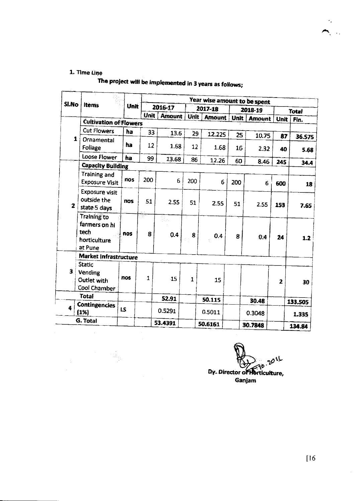## 1. Time Line

 $\overline{\phantom{a}}$ 

|  | The project will be implemented in 3 years as follows; |  |  |
|--|--------------------------------------------------------|--|--|
|  |                                                        |  |  |

| Si.No<br><b>Items</b><br><b>Unit</b><br>2016-17<br>2017-18<br>2018-19<br><b>Total</b><br>Unit<br>Amount  <br><b>Unit</b><br>Amount<br>Unit  <br><b>Amount</b><br>Unit<br>Fin.<br><b>Cultivation of Flowers</b><br><b>Cut Flowers</b><br>ha<br>33<br>13.6<br>29<br>12,225<br>25 <sub>1</sub><br>10.75<br>87<br>1<br><b>Ornamental</b><br>ha<br>12<br>1.68<br>12<br>Foliage<br>1.68<br>16<br>2.32<br>40<br>Loose Flower<br>ha<br>99<br>13.68<br>86<br>12.26<br>60<br>8.46<br>245<br><b>Capacity Building</b><br><b>Training and</b><br>200<br>nos<br>6<br>200<br>6<br><b>Exposure Visit</b><br>200<br>6<br>600<br>Exposure visit<br>outside the<br>nos<br>51<br>2.55<br>51<br>2.55<br>51<br>2.55<br>153<br>$\mathbf{z}$<br>state 5 days<br>$\omega_{\rm{eff}}$ .<br><b>Training to</b><br>w<br>का<br>इ.स<br>farmers on hi<br>tech.<br>nos<br>В<br>0.4<br>8<br>0.4<br>8<br>0.4<br>24<br>horticulture<br>at Pune<br>Market Infrastructure<br><b>Static</b><br>3.<br>Vending<br>nos<br>1<br>15<br>1<br>Outlet with<br>15<br>$\overline{2}$<br>Cool Chamber<br><b>Total</b><br>52.91<br>50.115<br>30.48<br>133.505<br><b>Contingencies</b><br>4<br>LS<br>0.5291<br>(1%)<br>0.5011<br>0.3048<br><b>G. Total</b> |  |  |  |         |  | Year wise amount to be spent |  |         |  |        |  |  |  |
|----------------------------------------------------------------------------------------------------------------------------------------------------------------------------------------------------------------------------------------------------------------------------------------------------------------------------------------------------------------------------------------------------------------------------------------------------------------------------------------------------------------------------------------------------------------------------------------------------------------------------------------------------------------------------------------------------------------------------------------------------------------------------------------------------------------------------------------------------------------------------------------------------------------------------------------------------------------------------------------------------------------------------------------------------------------------------------------------------------------------------------------------------------------------------------------------------------|--|--|--|---------|--|------------------------------|--|---------|--|--------|--|--|--|
|                                                                                                                                                                                                                                                                                                                                                                                                                                                                                                                                                                                                                                                                                                                                                                                                                                                                                                                                                                                                                                                                                                                                                                                                          |  |  |  |         |  |                              |  |         |  |        |  |  |  |
|                                                                                                                                                                                                                                                                                                                                                                                                                                                                                                                                                                                                                                                                                                                                                                                                                                                                                                                                                                                                                                                                                                                                                                                                          |  |  |  |         |  |                              |  |         |  |        |  |  |  |
|                                                                                                                                                                                                                                                                                                                                                                                                                                                                                                                                                                                                                                                                                                                                                                                                                                                                                                                                                                                                                                                                                                                                                                                                          |  |  |  |         |  |                              |  |         |  |        |  |  |  |
|                                                                                                                                                                                                                                                                                                                                                                                                                                                                                                                                                                                                                                                                                                                                                                                                                                                                                                                                                                                                                                                                                                                                                                                                          |  |  |  |         |  |                              |  |         |  | 36.575 |  |  |  |
|                                                                                                                                                                                                                                                                                                                                                                                                                                                                                                                                                                                                                                                                                                                                                                                                                                                                                                                                                                                                                                                                                                                                                                                                          |  |  |  |         |  |                              |  |         |  | 5.68   |  |  |  |
|                                                                                                                                                                                                                                                                                                                                                                                                                                                                                                                                                                                                                                                                                                                                                                                                                                                                                                                                                                                                                                                                                                                                                                                                          |  |  |  |         |  |                              |  |         |  |        |  |  |  |
|                                                                                                                                                                                                                                                                                                                                                                                                                                                                                                                                                                                                                                                                                                                                                                                                                                                                                                                                                                                                                                                                                                                                                                                                          |  |  |  |         |  |                              |  |         |  | 34.4   |  |  |  |
|                                                                                                                                                                                                                                                                                                                                                                                                                                                                                                                                                                                                                                                                                                                                                                                                                                                                                                                                                                                                                                                                                                                                                                                                          |  |  |  |         |  |                              |  |         |  | 18     |  |  |  |
|                                                                                                                                                                                                                                                                                                                                                                                                                                                                                                                                                                                                                                                                                                                                                                                                                                                                                                                                                                                                                                                                                                                                                                                                          |  |  |  |         |  |                              |  |         |  | 7.65   |  |  |  |
|                                                                                                                                                                                                                                                                                                                                                                                                                                                                                                                                                                                                                                                                                                                                                                                                                                                                                                                                                                                                                                                                                                                                                                                                          |  |  |  |         |  |                              |  |         |  | 1.2    |  |  |  |
|                                                                                                                                                                                                                                                                                                                                                                                                                                                                                                                                                                                                                                                                                                                                                                                                                                                                                                                                                                                                                                                                                                                                                                                                          |  |  |  |         |  |                              |  |         |  |        |  |  |  |
|                                                                                                                                                                                                                                                                                                                                                                                                                                                                                                                                                                                                                                                                                                                                                                                                                                                                                                                                                                                                                                                                                                                                                                                                          |  |  |  |         |  |                              |  |         |  | 30     |  |  |  |
|                                                                                                                                                                                                                                                                                                                                                                                                                                                                                                                                                                                                                                                                                                                                                                                                                                                                                                                                                                                                                                                                                                                                                                                                          |  |  |  |         |  |                              |  |         |  |        |  |  |  |
|                                                                                                                                                                                                                                                                                                                                                                                                                                                                                                                                                                                                                                                                                                                                                                                                                                                                                                                                                                                                                                                                                                                                                                                                          |  |  |  |         |  |                              |  |         |  | 1.335  |  |  |  |
|                                                                                                                                                                                                                                                                                                                                                                                                                                                                                                                                                                                                                                                                                                                                                                                                                                                                                                                                                                                                                                                                                                                                                                                                          |  |  |  | 53.4391 |  | 50.6161                      |  | 30.7848 |  | 134.84 |  |  |  |

2011 Dy. Director of Horticulture, Ganjam

[16

 $\hat{\boldsymbol{\beta}}$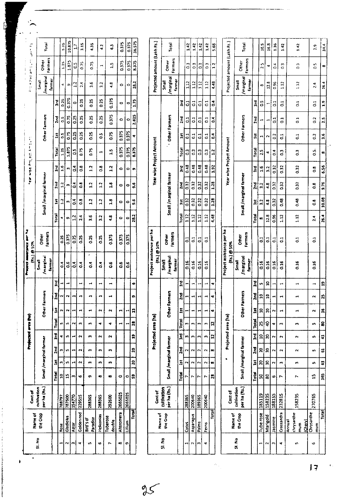|               |   |                        | <b>Projected averaged</b> |       |        |              | <b>CALL DESCRIPTION OF A REAL</b> | $(ns)$ @ 50%     |            |            |                        |               | 计可归口 计可归口 医阿里氏菌属 |       |               | İ       |                                   | かいしょう しんけいしゅ ひもじゃ せん<br>$\frac{1}{2}$ |           |
|---------------|---|------------------------|---------------------------|-------|--------|--------------|-----------------------------------|------------------|------------|------------|------------------------|---------------|------------------|-------|---------------|---------|-----------------------------------|---------------------------------------|-----------|
|               |   | Small /marginal farmer |                           | Other | lamers |              | /marginal<br>tarmer<br>Small      | Farmers<br>Other |            |            | Small /marginal farmer |               |                  |       | Other Farmers |         | <b>Iemarem</b><br>farmer<br>Smail | Farmers<br><b>Other</b>               | Total     |
| ă             |   | 2d                     | Total<br>공                | E     | 2rd    | 몸            |                                   |                  | Total      | ă          | 2nd                    | 정             | Total            | ä     | 2nd           | 끊       |                                   |                                       |           |
| m             |   | m                      | ın<br>4                   | N     | N      | $\mathbf{r}$ | đ,                                | 0.25             | 4          | 1.2        | $\ddot{ }$             | 1.6           | 1.25             | ပ္ပံ  | o.<br>O       | 0.25    | ¢                                 | 1.25                                  | 5.25      |
| n             |   | n                      | 'n<br>n                   | N     | N      |              | ဒိ                                | 0.375            | <b>o</b>   | m          | m                      | m             | 1,875            | 0.75  | 0.75          | 0.375   | ä                                 | 1.875                                 | 10.875    |
|               |   |                        | $\tilde{\phantom{a}}$     |       |        |              | ្លឹ                               | 0.75             | $\ddot{ }$ | 3          | ٥.                     | $\frac{4}{1}$ | G5               | 0.25  | 0.25          | $\circ$ | $\mathbf{r}$                      | S                                     | E,        |
| $\ddot{\sim}$ |   |                        | m<br>$\mathbf{\hat{z}}$   |       | Ħ      | Ħ            | $\frac{4}{3}$                     | 0.25             | 2.4        | ဒီ         | ី                      | ő             | 0.75             | 0.25  | o.zs          | 0.25    | ΣÎ                                | $\frac{5}{2}$                         | 11<br>3.1 |
|               |   |                        |                           |       |        | -4           | d.                                | 0.25             | a.6        | $\ddot{ }$ | $\ddot{1}$             | $\frac{2}{1}$ | 0.75             | 0.25  | 0.25          | 0.25    | 3.6                               | $6 - 5$                               | 4.35      |
| m             |   | m                      | ¢<br>$\mathbf{\hat{z}}$   | ົ     | ÷,     | H            | ្ញឹ                               | 0.25             | 21<br>31   | $\ddot{ }$ | $\mathbf{r}$           | 3             | r١               | ဒ္ဓ   | 0.25          | 0.25    | ٦.                                |                                       | 4.2       |
| m             |   | m                      | 4<br>N                    |       |        |              | ဒိ                                | 0.375            | ag<br>4    | 긙          | ្មី                    | $\ddot{a}$    | ۹.               | 0.75  | 0.375         | 0.375   | 4.8                               | م.<br>نہ                              | 3         |
|               |   |                        |                           |       |        |              | å<br>Ö                            | 0.375            | 0          | ۰          | 0                      | o             | 0.375            | 0.375 | o             | 0       | o                                 | 0.375                                 | 0.375     |
|               |   |                        |                           |       |        |              | o.<br>O                           | 0.375            | $\circ$    | 0          | $\circ$                | ۰             | 0.375            | 0.375 | o             | o       | o                                 | 0.375                                 | 0.375     |
|               | ຊ | នុ                     | 28<br>ង្ក                 | ą     | Ø,     | ٠            |                                   |                  | 28.2       | 9.6        | 9.6                    | Ģ,            | 8.375            | q     | 2.625         | 1.75    | 28.2                              | 8.375                                 | 36.575    |

i.<br>Li

|         |                     | Cost of                            |   |                             | Projected area (ha) |              |          |                |   | Project assistance per ha<br>(Rs.) @ 50% |                  |                 |            |                       |      | Year wise Project Amount |                 |          |                |                               | Projected amount (Lakh Rs.) |       |
|---------|---------------------|------------------------------------|---|-----------------------------|---------------------|--------------|----------|----------------|---|------------------------------------------|------------------|-----------------|------------|-----------------------|------|--------------------------|-----------------|----------|----------------|-------------------------------|-----------------------------|-------|
| ទី<br>ប | the Grop<br>Name of | cuttivation small /marginal farmer |   |                             |                     |              | Other Fa | <b>ILD GLZ</b> |   | Isnarghal<br>farmer<br>Small             | Farmers<br>Other |                 |            | Small/marginal farmer |      |                          | · Other Farmers |          |                | Ismarginal<br>farmer<br>Small | Farmers<br><b>Other</b>     | Total |
|         |                     |                                    |   | Total 1st 2nd 3rd Total 1st |                     |              |          | ដិ             | ž |                                          |                  | Total           | ă          | š                     | ដូ   | Total                    | ä               | 2nd      | 윾              |                               |                             |       |
|         | <b>ICycus</b>       | 288365                             |   |                             |                     |              |          |                |   | $\frac{6}{16}$                           | ತ                | 1.12            | 0.32       | 0.32                  | 0.48 | .<br>ප                   | $\vec{c}$       | 5        | $\vec{c}$      | $\overline{11}$               | d                           | 142   |
|         | Asparagus 200640    |                                    |   |                             |                     |              |          |                |   | 0.16                                     | ្ជ               | $\frac{12}{11}$ | 0.32       | $\frac{32}{2}$        | 0.48 | c<br>C                   | 5               | 3        | $\vec{c}$      | 112                           | ကို                         | 1.42  |
|         | jealied!            | 189365                             |   |                             |                     |              |          |                |   | 0.16                                     | ៊                | $\frac{12}{11}$ | <b>032</b> | 0.32                  | 0.48 | c<br>C                   | $\vec{c}$       | 5.1      | $\overline{c}$ | $\frac{12}{2}$                | c                           | 142   |
|         | Ferns               | 200640                             |   |                             |                     |              |          |                |   | 0.16                                     | ្ជ               | 1.12            | <b>CSO</b> | 0.32                  | 0.48 | ۰.<br>Ö                  | $\frac{1}{2}$   | <u>ដ</u> | $\frac{1}{2}$  | 112                           | ္မ                          | 142   |
|         | Total               |                                    | Ř |                             | $\ddot{a}$          | $\mathbf{r}$ |          |                |   |                                          |                  | 448             | 1.28       | 1.28                  | 1.92 | $\ddot{a}$               | ្ដ              | d.       | $\frac{1}{2}$  | 48                            | $\mathbf{r}$                | 58    |

 $25$ 

|                                          | Total                               |                  | 10.5              | 16.8            | 1.36                      | 142                | 1.42                                      | م.<br>م                | 34.4           |
|------------------------------------------|-------------------------------------|------------------|-------------------|-----------------|---------------------------|--------------------|-------------------------------------------|------------------------|----------------|
| Projected amount (Lakh Rs.)              | Farmers<br><b>Other</b>             |                  | $\frac{5}{2}$     | q               | र<br>०                    | C.C                | ွ                                         | S                      | œ              |
|                                          | /marginal<br>farmer<br><b>Small</b> |                  | ∞                 | 12.8            | 0.96                      | 1.12               | 1.12                                      | 24                     | 26.4           |
|                                          |                                     | 2                | 5                 |                 | $\overline{\mathbf{c}}$   | $\vec{c}$          | ៊                                         | $\vec{0}$              | $\ddot{ }$     |
|                                          | Other Farmers                       | Znd              |                   |                 | ្ល                        | 3                  | ្ជ                                        | 3                      | 25             |
|                                          |                                     | 1st              |                   |                 | ွ                         | ្បូ                | ្ញា                                       | 3.2                    | o.<br>M        |
| Year wise Project Amount                 |                                     | Total            | 25                | 4               | $\mathbf{c}^{\mathbf{d}}$ | ឹ                  | ි                                         | ć                      | œ              |
|                                          |                                     | ភ្ន              | 16                | 5.              | 032                       | 0.32               | 0.32                                      | ဒီ                     | 6.56           |
|                                          | Small /marginal farmer              | 2nd              | $\ddot{3}$        | $\frac{8}{7}$   | $\frac{32}{5}$            | 0.32               | 0.32                                      | ီ                      | 9.76           |
|                                          |                                     | ă                | $\ddot{ }$        | $\frac{8}{7}$   | 0.32                      | 348                | 0.48                                      | ဒီ                     | 10.08          |
|                                          |                                     | Total            | œ                 | 12.8            | 86                        | 1.12               | 1.12                                      | 2.4                    | 26.4           |
|                                          | <b>Farmers</b><br>Other             |                  | ន                 | 3               | ã                         | ្ល                 | ្ដ                                        | ្ល                     |                |
| Project assistance per ha<br>(Rs.) @ 50% | Isnigram/<br>farmer<br>Small        |                  | 0.16              | $\frac{6}{5}$   | 0.16                      | 0.16               | 0.16                                      | 0.16                   |                |
|                                          |                                     | 꼮                | n                 | ទ               |                           |                    |                                           |                        | å              |
|                                          | Farmers<br><b>Other</b>             | 2nd              | g                 | ្ក              |                           |                    |                                           |                        | X)             |
|                                          |                                     | ă                | g                 | g               | $\sim$                    |                    |                                           |                        | ×              |
| Projected area (ha)                      |                                     | <b>Brd</b> Total | $\frac{25}{2}$    | Ş               | ₹                         |                    | m                                         |                        | ន្ល            |
|                                          | Small/marginal farmer               |                  | $\mathbf{a}$      | g               |                           |                    |                                           |                        | 41             |
|                                          |                                     | 1st 2nd          | ຊ                 | ន្ត             | Ñ                         |                    |                                           |                        | ដ<br>          |
|                                          |                                     |                  | $\frac{1}{2}$     | ្ណ              |                           |                    |                                           | n                      | $\overline{a}$ |
|                                          |                                     | Total            | ន្ហ               | ຊູ              | ۱o                        |                    |                                           | 4                      | 165            |
| Cost of                                  | per ha (Rs.)<br>cultivation         |                  |                   |                 | 188155                    |                    | 158235                                    | 270765                 |                |
| Name of                                  | the Crop                            |                  | Tube rose  185119 | Marigold 158235 | Jasmine                   | Crossandra  232815 | chrysanthe<br>Annual<br>(Cherv)<br>m<br>E | Chrysanthe<br>mum<br>E | Total          |
|                                          | SI.No                               |                  |                   |                 |                           | 4                  |                                           | Φ                      |                |

 $|7$